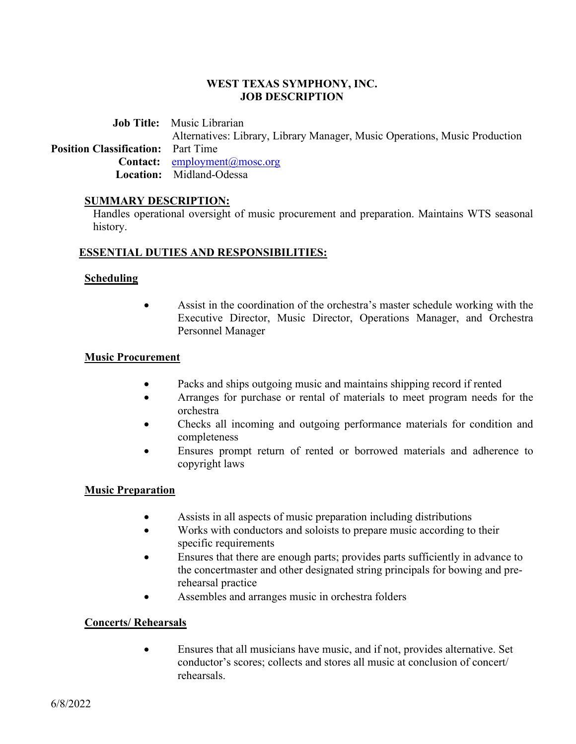## **WEST TEXAS SYMPHONY, INC. JOB DESCRIPTION**

 **Job Title:** Music Librarian Alternatives: Library, Library Manager, Music Operations, Music Production **Position Classification:** Part Time **Contact:** [employment@mosc.org](mailto:employment@mosc.org) **Location:** Midland-Odessa

### **SUMMARY DESCRIPTION:**

Handles operational oversight of music procurement and preparation. Maintains WTS seasonal history.

## **ESSENTIAL DUTIES AND RESPONSIBILITIES:**

### **Scheduling**

• Assist in the coordination of the orchestra's master schedule working with the Executive Director, Music Director, Operations Manager, and Orchestra Personnel Manager

### **Music Procurement**

- Packs and ships outgoing music and maintains shipping record if rented
- Arranges for purchase or rental of materials to meet program needs for the orchestra
- Checks all incoming and outgoing performance materials for condition and completeness
- Ensures prompt return of rented or borrowed materials and adherence to copyright laws

### **Music Preparation**

- Assists in all aspects of music preparation including distributions
- Works with conductors and soloists to prepare music according to their specific requirements
- Ensures that there are enough parts; provides parts sufficiently in advance to the concertmaster and other designated string principals for bowing and prerehearsal practice
- Assembles and arranges music in orchestra folders

### **Concerts/ Rehearsals**

• Ensures that all musicians have music, and if not, provides alternative. Set conductor's scores; collects and stores all music at conclusion of concert/ rehearsals.